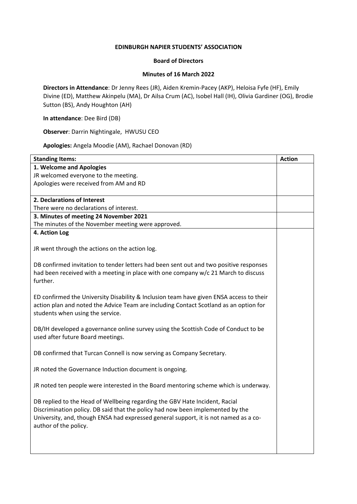## **EDINBURGH NAPIER STUDENTS' ASSOCIATION**

## **Board of Directors**

## **Minutes of 16 March 2022**

**Directors in Attendance**: Dr Jenny Rees (JR), Aiden Kremin-Pacey (AKP), Heloisa Fyfe (HF), Emily Divine (ED), Matthew Akinpelu (MA), Dr Ailsa Crum (AC), Isobel Hall (IH), Olivia Gardiner (OG), Brodie Sutton (BS), Andy Houghton (AH)

**In attendance**: Dee Bird (DB)

**Observer**: Darrin Nightingale, HWUSU CEO

**Apologies:** Angela Moodie (AM), Rachael Donovan (RD)

| <b>Standing Items:</b>                                                                                                                                                                                                                                                         | <b>Action</b> |
|--------------------------------------------------------------------------------------------------------------------------------------------------------------------------------------------------------------------------------------------------------------------------------|---------------|
| 1. Welcome and Apologies                                                                                                                                                                                                                                                       |               |
| JR welcomed everyone to the meeting.                                                                                                                                                                                                                                           |               |
| Apologies were received from AM and RD                                                                                                                                                                                                                                         |               |
|                                                                                                                                                                                                                                                                                |               |
| 2. Declarations of Interest                                                                                                                                                                                                                                                    |               |
| There were no declarations of interest.                                                                                                                                                                                                                                        |               |
| 3. Minutes of meeting 24 November 2021                                                                                                                                                                                                                                         |               |
| The minutes of the November meeting were approved.                                                                                                                                                                                                                             |               |
| 4. Action Log                                                                                                                                                                                                                                                                  |               |
| JR went through the actions on the action log.                                                                                                                                                                                                                                 |               |
| DB confirmed invitation to tender letters had been sent out and two positive responses<br>had been received with a meeting in place with one company w/c 21 March to discuss<br>further.                                                                                       |               |
| ED confirmed the University Disability & Inclusion team have given ENSA access to their<br>action plan and noted the Advice Team are including Contact Scotland as an option for<br>students when using the service.                                                           |               |
| DB/IH developed a governance online survey using the Scottish Code of Conduct to be<br>used after future Board meetings.                                                                                                                                                       |               |
| DB confirmed that Turcan Connell is now serving as Company Secretary.                                                                                                                                                                                                          |               |
| JR noted the Governance Induction document is ongoing.                                                                                                                                                                                                                         |               |
| JR noted ten people were interested in the Board mentoring scheme which is underway.                                                                                                                                                                                           |               |
| DB replied to the Head of Wellbeing regarding the GBV Hate Incident, Racial<br>Discrimination policy. DB said that the policy had now been implemented by the<br>University, and, though ENSA had expressed general support, it is not named as a co-<br>author of the policy. |               |
|                                                                                                                                                                                                                                                                                |               |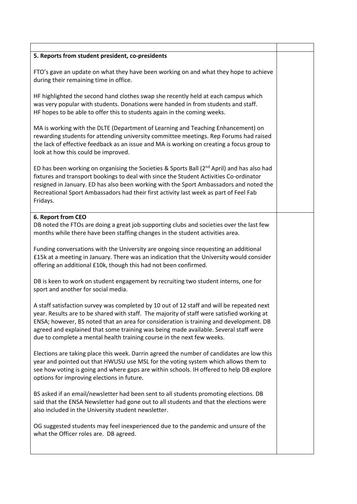| 5. Reports from student president, co-presidents                                                                                                                                                                                                                                                                                                                                                                                                    |  |
|-----------------------------------------------------------------------------------------------------------------------------------------------------------------------------------------------------------------------------------------------------------------------------------------------------------------------------------------------------------------------------------------------------------------------------------------------------|--|
|                                                                                                                                                                                                                                                                                                                                                                                                                                                     |  |
| FTO's gave an update on what they have been working on and what they hope to achieve<br>during their remaining time in office.                                                                                                                                                                                                                                                                                                                      |  |
| HF highlighted the second hand clothes swap she recently held at each campus which<br>was very popular with students. Donations were handed in from students and staff.<br>HF hopes to be able to offer this to students again in the coming weeks.                                                                                                                                                                                                 |  |
| MA is working with the DLTE (Department of Learning and Teaching Enhancement) on<br>rewarding students for attending university committee meetings. Rep Forums had raised<br>the lack of effective feedback as an issue and MA is working on creating a focus group to<br>look at how this could be improved.                                                                                                                                       |  |
| ED has been working on organising the Societies & Sports Ball (2 <sup>nd</sup> April) and has also had<br>fixtures and transport bookings to deal with since the Student Activities Co-ordinator<br>resigned in January. ED has also been working with the Sport Ambassadors and noted the<br>Recreational Sport Ambassadors had their first activity last week as part of Feel Fab<br>Fridays.                                                     |  |
| 6. Report from CEO                                                                                                                                                                                                                                                                                                                                                                                                                                  |  |
| DB noted the FTOs are doing a great job supporting clubs and societies over the last few<br>months while there have been staffing changes in the student activities area.                                                                                                                                                                                                                                                                           |  |
| Funding conversations with the University are ongoing since requesting an additional<br>£15k at a meeting in January. There was an indication that the University would consider<br>offering an additional £10k, though this had not been confirmed.                                                                                                                                                                                                |  |
| DB is keen to work on student engagement by recruiting two student interns, one for<br>sport and another for social media.                                                                                                                                                                                                                                                                                                                          |  |
| A staff satisfaction survey was completed by 10 out of 12 staff and will be repeated next<br>year. Results are to be shared with staff. The majority of staff were satisfied working at<br>ENSA; however, BS noted that an area for consideration is training and development. DB<br>agreed and explained that some training was being made available. Several staff were<br>due to complete a mental health training course in the next few weeks. |  |
| Elections are taking place this week. Darrin agreed the number of candidates are low this<br>year and pointed out that HWUSU use MSL for the voting system which allows them to<br>see how voting is going and where gaps are within schools. IH offered to help DB explore<br>options for improving elections in future.                                                                                                                           |  |
| BS asked if an email/newsletter had been sent to all students promoting elections. DB<br>said that the ENSA Newsletter had gone out to all students and that the elections were<br>also included in the University student newsletter.                                                                                                                                                                                                              |  |
| OG suggested students may feel inexperienced due to the pandemic and unsure of the<br>what the Officer roles are. DB agreed.                                                                                                                                                                                                                                                                                                                        |  |
|                                                                                                                                                                                                                                                                                                                                                                                                                                                     |  |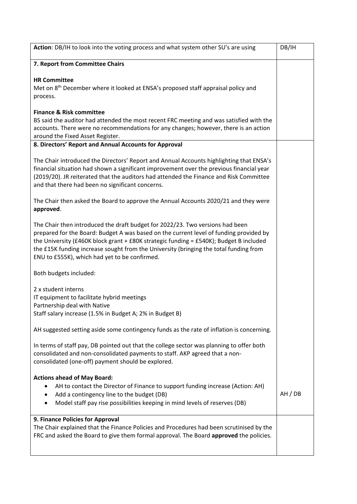| Action: DB/IH to look into the voting process and what system other SU's are using                                                                                                                                                                                                                                                                                                                          | DB/IH |
|-------------------------------------------------------------------------------------------------------------------------------------------------------------------------------------------------------------------------------------------------------------------------------------------------------------------------------------------------------------------------------------------------------------|-------|
| 7. Report from Committee Chairs                                                                                                                                                                                                                                                                                                                                                                             |       |
| <b>HR Committee</b><br>Met on 8 <sup>th</sup> December where it looked at ENSA's proposed staff appraisal policy and<br>process.                                                                                                                                                                                                                                                                            |       |
| <b>Finance &amp; Risk committee</b><br>BS said the auditor had attended the most recent FRC meeting and was satisfied with the<br>accounts. There were no recommendations for any changes; however, there is an action<br>around the Fixed Asset Register.                                                                                                                                                  |       |
| 8. Directors' Report and Annual Accounts for Approval                                                                                                                                                                                                                                                                                                                                                       |       |
| The Chair introduced the Directors' Report and Annual Accounts highlighting that ENSA's<br>financial situation had shown a significant improvement over the previous financial year<br>(2019/20). JR reiterated that the auditors had attended the Finance and Risk Committee<br>and that there had been no significant concerns.                                                                           |       |
| The Chair then asked the Board to approve the Annual Accounts 2020/21 and they were<br>approved.                                                                                                                                                                                                                                                                                                            |       |
| The Chair then introduced the draft budget for 2022/23. Two versions had been<br>prepared for the Board: Budget A was based on the current level of funding provided by<br>the University (£460K block grant + £80K strategic funding = £540K); Budget B included<br>the £15K funding increase sought from the University (bringing the total funding from<br>ENU to £555K), which had yet to be confirmed. |       |
| Both budgets included:                                                                                                                                                                                                                                                                                                                                                                                      |       |
| 2 x student interns<br>IT equipment to facilitate hybrid meetings<br>Partnership deal with Native<br>Staff salary increase (1.5% in Budget A; 2% in Budget B)                                                                                                                                                                                                                                               |       |
| AH suggested setting aside some contingency funds as the rate of inflation is concerning.                                                                                                                                                                                                                                                                                                                   |       |
| In terms of staff pay, DB pointed out that the college sector was planning to offer both<br>consolidated and non-consolidated payments to staff. AKP agreed that a non-<br>consolidated (one-off) payment should be explored.                                                                                                                                                                               |       |
| <b>Actions ahead of May Board:</b>                                                                                                                                                                                                                                                                                                                                                                          |       |
| AH to contact the Director of Finance to support funding increase (Action: AH)<br>Add a contingency line to the budget (DB)<br>Model staff pay rise possibilities keeping in mind levels of reserves (DB)                                                                                                                                                                                                   | AH/DB |
| 9. Finance Policies for Approval                                                                                                                                                                                                                                                                                                                                                                            |       |
| The Chair explained that the Finance Policies and Procedures had been scrutinised by the<br>FRC and asked the Board to give them formal approval. The Board approved the policies.                                                                                                                                                                                                                          |       |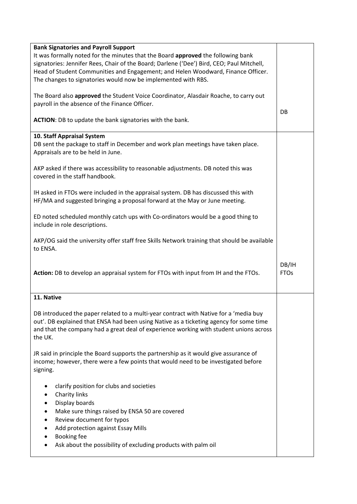| <b>Bank Signatories and Payroll Support</b><br>It was formally noted for the minutes that the Board approved the following bank<br>signatories: Jennifer Rees, Chair of the Board; Darlene ('Dee') Bird, CEO; Paul Mitchell,<br>Head of Student Communities and Engagement; and Helen Woodward, Finance Officer.<br>The changes to signatories would now be implemented with RBS. |                      |
|-----------------------------------------------------------------------------------------------------------------------------------------------------------------------------------------------------------------------------------------------------------------------------------------------------------------------------------------------------------------------------------|----------------------|
| The Board also approved the Student Voice Coordinator, Alasdair Roache, to carry out<br>payroll in the absence of the Finance Officer.                                                                                                                                                                                                                                            | DB                   |
| ACTION: DB to update the bank signatories with the bank.                                                                                                                                                                                                                                                                                                                          |                      |
| 10. Staff Appraisal System<br>DB sent the package to staff in December and work plan meetings have taken place.<br>Appraisals are to be held in June.                                                                                                                                                                                                                             |                      |
| AKP asked if there was accessibility to reasonable adjustments. DB noted this was<br>covered in the staff handbook.                                                                                                                                                                                                                                                               |                      |
| IH asked in FTOs were included in the appraisal system. DB has discussed this with<br>HF/MA and suggested bringing a proposal forward at the May or June meeting.                                                                                                                                                                                                                 |                      |
| ED noted scheduled monthly catch ups with Co-ordinators would be a good thing to<br>include in role descriptions.                                                                                                                                                                                                                                                                 |                      |
| AKP/OG said the university offer staff free Skills Network training that should be available<br>to ENSA.                                                                                                                                                                                                                                                                          |                      |
| Action: DB to develop an appraisal system for FTOs with input from IH and the FTOs.                                                                                                                                                                                                                                                                                               | DB/IH<br><b>FTOs</b> |
| 11. Native                                                                                                                                                                                                                                                                                                                                                                        |                      |
| DB introduced the paper related to a multi-year contract with Native for a 'media buy<br>out'. DB explained that ENSA had been using Native as a ticketing agency for some time<br>and that the company had a great deal of experience working with student unions across<br>the UK.                                                                                              |                      |
| JR said in principle the Board supports the partnership as it would give assurance of<br>income; however, there were a few points that would need to be investigated before<br>signing.                                                                                                                                                                                           |                      |
| clarify position for clubs and societies<br>Charity links<br>٠<br>Display boards<br>Make sure things raised by ENSA 50 are covered<br>$\bullet$<br>Review document for typos<br>٠<br>Add protection against Essay Mills<br>Booking fee<br>Ask about the possibility of excluding products with palm oil                                                                           |                      |